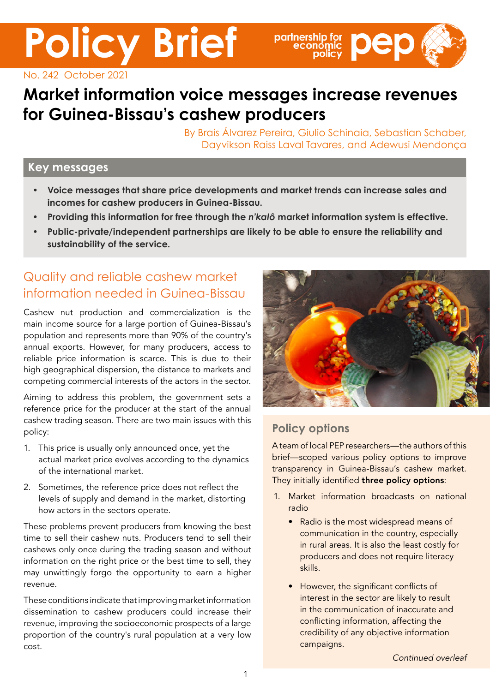No. 242 October 2021

# **Market information voice messages increase revenues for Guinea-Bissau's cashew producers**

By Brais Álvarez Pereira, Giulio Schinaia, Sebastian Schaber, Dayvikson Raiss Laval Tavares, and Adewusi Mendonça

partnership for **Dep** 

### **Key messages**

- **• Voice messages that share price developments and market trends can increase sales and incomes for cashew producers in Guinea-Bissau.**
- **• Providing this information for free through the** *n'kalô* **market information system is effective.**
- **• Public-private/independent partnerships are likely to be able to ensure the reliability and sustainability of the service.**

### Quality and reliable cashew market information needed in Guinea-Bissau

**Policy Brief**

Cashew nut production and commercialization is the main income source for a large portion of Guinea-Bissau's population and represents more than 90% of the country's annual exports. However, for many producers, access to reliable price information is scarce. This is due to their high geographical dispersion, the distance to markets and competing commercial interests of the actors in the sector.

Aiming to address this problem, the government sets a reference price for the producer at the start of the annual cashew trading season. There are two main issues with this policy:

- 1. This price is usually only announced once, yet the actual market price evolves according to the dynamics of the international market.
- 2. Sometimes, the reference price does not reflect the levels of supply and demand in the market, distorting how actors in the sectors operate.

These problems prevent producers from knowing the best time to sell their cashew nuts. Producers tend to sell their cashews only once during the trading season and without information on the right price or the best time to sell, they may unwittingly forgo the opportunity to earn a higher revenue.

These conditions indicate that improving market information dissemination to cashew producers could increase their revenue, improving the socioeconomic prospects of a large proportion of the country's rural population at a very low cost.



### **Policy options**

A team of local PEP researchers—the authors of this brief—scoped various policy options to improve transparency in Guinea-Bissau's cashew market. They initially identified three policy options:

- 1. Market information broadcasts on national radio
	- Radio is the most widespread means of communication in the country, especially in rural areas. It is also the least costly for producers and does not require literacy skills.
	- However, the significant conflicts of interest in the sector are likely to result in the communication of inaccurate and conflicting information, affecting the credibility of any objective information campaigns.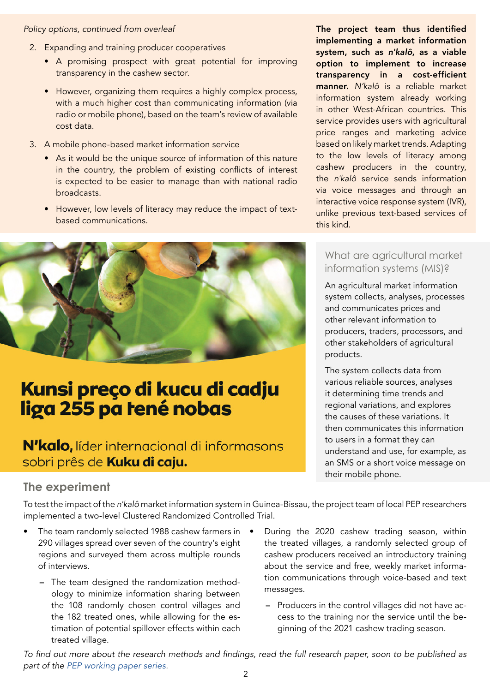#### *Policy options, continued from overleaf*

- 2. Expanding and training producer cooperatives
	- A promising prospect with great potential for improving transparency in the cashew sector.
	- However, organizing them requires a highly complex process, with a much higher cost than communicating information (via radio or mobile phone), based on the team's review of available cost data.
- 3. A mobile phone-based market information service
	- As it would be the unique source of information of this nature in the country, the problem of existing conflicts of interest is expected to be easier to manage than with national radio broadcasts.
	- However, low levels of literacy may reduce the impact of textbased communications.



# Kunsi preço di kucu di cadju liga 255 pa tené nobas

### N'kalo, líder internacional di informasons sobri prês de Kuku di caju.

### **The experiment**

To test the impact of the *n'kalô* market information system in Guinea-Bissau, the project team of local PEP researchers implemented a two-level Clustered Randomized Controlled Trial.

- The team randomly selected 1988 cashew farmers in 290 villages spread over seven of the country's eight regions and surveyed them across multiple rounds of interviews.
	- The team designed the randomization methodology to minimize information sharing between the 108 randomly chosen control villages and the 182 treated ones, while allowing for the estimation of potential spillover effects within each treated village.
- During the 2020 cashew trading season, within the treated villages, a randomly selected group of cashew producers received an introductory training about the service and free, weekly market information communications through voice-based and text messages.
	- Producers in the control villages did not have access to the training nor the service until the beginning of the 2021 cashew trading season.

To find out more about the research methods and findings, read the full research paper, soon to be published as part of the [PEP working paper series](https://www.pep-net.org/working-papers)*.* 2

The project team thus identified implementing a market information system, such as *n'kalô*, as a viable option to implement to increase transparency in a cost-efficient manner. *N'kalô* is a reliable market information system already working in other West-African countries. This service provides users with agricultural price ranges and marketing advice based on likely market trends. Adapting to the low levels of literacy among cashew producers in the country, the *n'kalô* service sends information via voice messages and through an interactive voice response system (IVR), unlike previous text-based services of this kind.

#### What are agricultural market information systems (MIS)?

An agricultural market information system collects, analyses, processes and communicates prices and other relevant information to producers, traders, processors, and other stakeholders of agricultural products.

The system collects data from various reliable sources, analyses it determining time trends and regional variations, and explores the causes of these variations. It then communicates this information to users in a format they can understand and use, for example, as an SMS or a short voice message on their mobile phone.